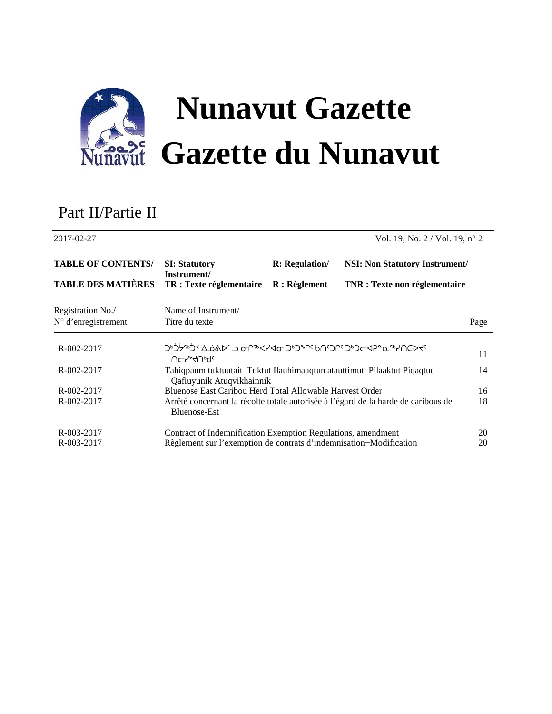

# Part II/Partie II

| 2017-02-27                                             |                                                                                                      |                       | Vol. 19, No. $2 /$ Vol. 19, n° 2                                              |      |
|--------------------------------------------------------|------------------------------------------------------------------------------------------------------|-----------------------|-------------------------------------------------------------------------------|------|
| <b>TABLE OF CONTENTS/</b><br><b>TABLE DES MATIÈRES</b> | <b>SI: Statutory</b><br>Instrument/<br>TR : Texte réglementaire                                      | <b>R:</b> Regulation/ | <b>NSI: Non Statutory Instrument/</b><br><b>TNR</b> : Texte non réglementaire |      |
|                                                        |                                                                                                      | $R:$ Règlement        |                                                                               |      |
| Registration No./                                      | Name of Instrument/                                                                                  |                       |                                                                               |      |
| $N^{\circ}$ d'enregistrement                           | Titre du texte                                                                                       |                       |                                                                               | Page |
| R-002-2017                                             | <u>ϽϷϽϟͼϷϽͼϓϘ϶ϹͽϹϿϹϽϷϽϽϷϽʹͻϷϽϒϒϷͶͻͿͻϷϽϹϯϤϨͼʹͼʹϘϒͿϹϷϯͼ</u><br>UChAHUPQC                               |                       |                                                                               | 11   |
| R-002-2017                                             | Tahiqpaum tuktuutait Tuktut Ilauhimaaqtun atauttimut Pilaaktut Piqaqtuq<br>Qafiuyunik Atuqvikhainnik |                       |                                                                               | 14   |
| $R - 002 - 2017$                                       | Bluenose East Caribou Herd Total Allowable Harvest Order                                             |                       |                                                                               | 16   |
| R-002-2017                                             | Arrêté concernant la récolte totale autorisée à l'égard de la harde de caribous de<br>Bluenose-Est   |                       |                                                                               | 18   |
| R-003-2017                                             | Contract of Indemnification Exemption Regulations, amendment                                         |                       |                                                                               | 20   |
| R-003-2017                                             | Règlement sur l'exemption de contrats d'indemnisation-Modification                                   |                       |                                                                               | 20   |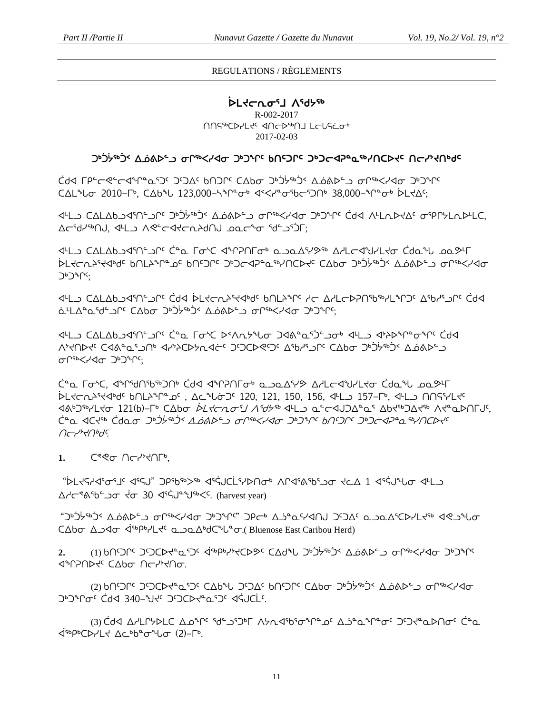## REGULATIONS / RÈGLEMENTS

# **ᐆᒪᔪᓕᕆᓂᕐᒧ ᐱᖁᔭᖅ** R-002-2017 ∩∩S<sup>-</sup> CP-LS<sup>-</sup> ⊲∩ר⊳<sup>66</sup>∩ LCLS 2017-02-03

# ᑐᒃᑑᔮᖅᑑᑉ ᐃᓅᕕᐅᓪᓗ ᓂᒋᖅᐸᓯᐊᓂ ᑐᒃᑐᖏᑦ **ᑲᑎᑦᑐᒋᑦ ᑐᒃᑐᓕᐊᕈᓐᓇᖅᓯᑎᑕᐅᔪᑦ ᑎᓕᓯᔾᔪᑎᒃᑯᑦ**

ᑖᑯᐊ ᒥᑭᓪᓕᕙᓪᓕᐊᖏᓐᓇᕐᑐᑦ ᑐᑦᑐᐃᑦ ᑲᑎᑐᒋᑦ ᑕᐃᑲᓂ ᑐᒃᑑᔮᖅᑑᑉ ᐃᓅᕕᐅᓪᓗ ᓂᒋᖅᐸᓯᐊᓂ ᑐᒃᑐᖏᑦ ᑕᐃᒪᖓᓂ 2010−ᒥᒃ, ᑕᐃᑲᖓ 123,000−ᓴᖏᓐᓂᒃ ᐊᑉᐸᓯᓐᓂᖃᓕᕐᑐᑎᒃ 38,000−ᖏᓐᓂᒃ ᐆᒪᔪᐃᑦ;

ᐊᒻᒪᓗ ᑕᐃᒪᐃᑲᓗᐊᕐᑎᓪᓗᒋᑦ ᑐᒃᑑᔮᖅᑑᑉ ᐃᓅᕕᐅᓪᓗ ᓂᒋᖅᐸᓯᐊᓂ ᑐᒃᑐᖏᑦ ᑖᑯᐊ ᐱᒻᒪᕆᐅᔪᐃᑦ ᓂᕿᒋᔭᒪᕆᐅᒻᒪᑕ, ᐃᓕᖁᓯᖅᑎᒍ, ᐊᒻᒪᓗ ᐱᕙᓪᓕᐊᔪᓕᕆᔨᑯᑎᒍ ᓄᓇᓕᖕᓂ ᖁᓪᓗᕐᑑᒥ;

ᐊᒻᒪᓗ ᑕᐃᒪᐃᑲᓗᐊᕐᑎᓪᓗᒋᑦ ᑖᓐᓇ ᒥᓂᔅᑕ ᐊᖏᕈᑎᒥᓂᒃ ᓇᓗᓇᐃᕐᓯᕗᖅ ᐃᓱᒪᓕᐊᖑᓯᒪᔪᓂ ᑖᑯᓇᖓ ᓄᓇᕗᒻᒥ ᐆᒪᔪᓕᕆᔨᕐᔪᐊᒃᑯᑦ ᑲᑎᒪᔨᖏᓐᓄᑦ ᑲᑎᑦᑐᒋᑦ ᑐᒃᑐᓕᐊᕈᓐᓇᖅᓯᑎᑕᐅᔪᑦ ᑕᐃᑲᓂ ᑐᒃᑑᔮᖅᑑᑉ ᐃᓅᕕᐅᓪᓗ ᓂᒋᖅᐸᓯᐊᓂ ᑐᒃᑐᖏᑦ;

√4L) C∆L∆bكh< Ćd4 ÀLK⊂NY44d، bNLY^L YC ∆YL⊂Þ?N1bªYLºՐ)، ∆qh4Sn ä4L∆ºaºdʿكَالا C∆b<del>o</del> خُرْبْرْدْ ۞ غَارْكَانَ ضَارْبْر

ᐊᒻᒪᓗ ᑕᐃᒪᐃᑲᓗᐊᕐᑎᓪᓗᒋᑦ ᑖᓐᓇ ᒥᓂᔅᑕ ᐅᑉᐱᕆᔭᖓᓂ ᑐᐊᕕᓐᓇᕐᑑᓪᓗᓂᒃ ᐊᒻᒪᓗ ᐊᔾᔨᐅᖏᓐᓂᖏᑦ ᑖᑯᐊ ᐱᔾᔪᑎᐅᔪᑦ ᑕᐊᕕᓐᓇᕐᓗᑎᒃ ᐊᓯᔾᔨᑕᐅᔭᕆᐊᓖᑦ ᑐᑦᑐᑕᐅᕙᑦᑐᑦ ᐃᖃᓱᕐᓗᒋᑦ ᑕᐃᑲᓂ ᑐᒃᑑᔮᖅᑑᑉ ᐃᓅᕕᐅᓪᓗ ᓂᒋᖅᐸᓯᐊᓂ ᑐᒃᑐᖏᑦ;

ᑖᓐᓇ ᒥᓂᔅᑕ, ᐊᖏᖁᑎᖃᖅᑐᑎᒃ ᑖᑯᐊ ᐊᖏᕈᑎᒥᓂᒃ ᓇᓗᓇᐃᕐᓯᕗ ᐃᓱᒪᓕᐊᖑᓯᒪᔪᓂ ᑖᑯᓇᖓ ᓄᓇᕗᒻᒥ ᐆᒪᔪᓕᕆᔨᕐᔪᐊᒃᑯᑦ ᑲᑎᒪᔨᖏᓐᓄᑦ , ᐃᓚᖓᓃᑐᑦ 120, 121, 150, 156, ᐊᒻᒪᓗ 157−ᒥᒃ, ᐊᒻᒪᓗ ᑎᑎᕋᕐᓯᒪᔪᑦ ᐊᕕᒃᑐᖅᓯᒪᔪᓂ 121(b)−ᒥᒃ ᑕᐃᑲᓂ ᐆᒪᔪᓕᕆᓂᕐᒧ ᐱᖁᔭᖅ ᐊᒻᒪᓗ ᓇᓪᓕᐊᒍᑐᐃᓐᓇᕐ ᐃᑲᔪᖅᑐᐃᔪᖅ ᐱᔪᓐᓇᐅᑎᒥᒍᑦ, ᑖᓐᓇ ᐊᑕᔪᖅ ᑖᑯᓇᓂ ᑐᒃᑑᔮᖅᑑᑉ ᐃᓅᕕᐅᓪᓗ ᓂᒋᖅᐸᓯᐊᓂ ᑐᒃᑐᖏᑦ ᑲᑎᑦᑐᒋᑦ ᑐᒃᑐᓕᐊᕈᓐᓇᖅᓯᑎᑕᐅᔪᑦ ᑎᓕᓯᔾᔪᑎᒃᑯᑦ.

1. C®®<sub>o</sub> ∩c<sup>1</sup>/20Fb,

"ᐆᒪᔪᕋᓱᐊᕐᓂᕐᒧᑦ ᐊᕐᕋᒍ" ᑐᑭᖃᖅᐳᖅ ᐊᕐᕌᒍᑕᒫᕐᓯᐅᑎᓂᒃ ᐱᒋᐊᕐᕕᖃᕐᓗᓂ ᔪᓚᐃ 1 ᐊᕐᕌᒍᖓᓂ ᐊᒻᒪᓗ ᐃᓱᓕᕝᕕᖃᓪᓗᓂ ᔫᓂ 30 ᐊᕐᕌᒍᓐᖑᖅᐸᑦ. (harvest year)

"ᑐᒃᑑᔮᖅᑑᑉ ᐃᓅᕕᐅᓪᓗ ᓂᒋᖅᐸᓯᐊᓂ ᑐᒃᑐᖏᑦ" ᑐᑭᓕᒃ ᐃᓘᓐᓇᑦᓯᐊᑎᒍ ᑐᑦᑐᐃᑦ ᓇᓗᓇᐃᕐᑕᐅᓯᒪᔪᖅ ᐊᕙᓗᖓᓂ ⊂∆bσ ∆⊃⊲σ ∢<sup>56</sup>Ρ<sup>6</sup>γ′Lτ<sup>ις</sup> ω⊃ω∆<sup>6</sup>d C<sup>4</sup>U<sup>α</sup>σ. (Bluenose East Caribou Herd)

**2.** (1) ᑲᑎᑦᑐᒋᑦ ᑐᑦᑐᑕᐅᔪᓐᓇᕐᑐᑦ ᐋᖅᑭᒃᓯᔾᔪᑕᐅᕗᑦ ᑕᐃᑯᖓ ᑐᒃᑑᔮᖅᑑᑉ ᐃᓅᕕᐅᓪᓗ ᓂᒋᖅᐸᓯᐊᓂ ᑐᒃᑐᖏᑦ **ITHUC** CAP UCHTUC.

(2) ᲮᲘṢᲐ i كۈكلۈك ھەككىك ئاككى ئاككى ئاككى ئاكتەتبېر ئاكتەتبەر ئاكتەتبەر ئاكتەتبەر ئاكتى ᑐᒃᑐᖏᓂᑦ ᑖᑯᐊ 340−ᖑᔪᑦ ᑐᑦᑐᑕᐅᔪᓐᓇᕐᑐᑦ ᐊᕌᒍᑕᒫᑦ.

(3) <mark>Ċd</mark> Δ/LՐሃÞLC Δρ<sup>ъ</sup>Ր<sup>ແ </sup> ɗ<sup>ե</sup> גרש לאת לאיר <sup>ד</sup>יר Δ לאחר לבים לאחר לבים. ᐋᖅᑭᒃᑕᐅᓯᒪᔪ ᐃᓚᒃᑲᓐᓂᖓᓂ (2)−ᒥᒃ.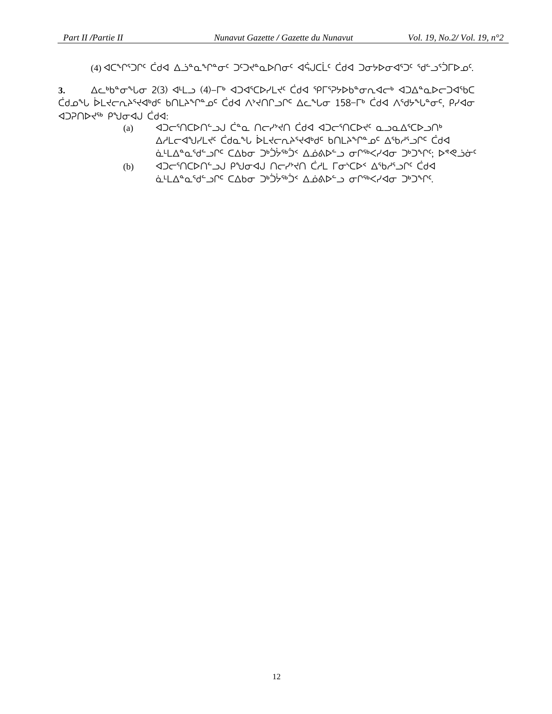(4) אביריטרי לא באבים יחדיים לא היירש לא האטרני לא אדארי יור אלאפיים האירותי היא היירותי הי

**3.** ᐃᓚᒃᑲᓐᓂᖓᓂ 2(3) ᐊᒻᒪᓗ (4)−ᒥᒃ ᐊᑐᐊᕐᑕᐅᓯᒪᔪᑦ ᑖᑯᐊ ᕿᒥᕐᕈᔭᐅᑲᓐᓂᕆᐊᓕᒃ ᐊᑐᐃᓐᓇᐅᓕᑐᐊᖃᑕ ᑖᑯᓄᖓ ᐆᒪᔪᓕᕆᔨᕐᔪᐊᒃᑯᑦ ᑲᑎᒪᔨᖏᓐᓄᑦ ᑖᑯᐊ ᐱᔾᔪᑎᒋᓗᒋᑦ ᐃᓚᖓᓂ 158−ᒥᒃ ᑖᑯᐊ ᐱᖁᔭᖓᓐᓂᑦ, ᑭᓯᐊᓂ ᐊᑐᕈᑎᐅᔪᖅ ᑭᖑᓂᐊᒍ ᑖᑯᐊ:

- (a) ᐊᑐᓕᕐᑎᑕᐅᑎᓪᓗᒍ ᑖᓐᓇ ᑎᓕᓯᔾᔪᑎ ᑖᑯᐊ ᐊᑐᓕᕐᑎᑕᐅᔪᑦ ᓇᓗᓇᐃᕐᑕᐅᓗᑎᒃ ᐃᓱᒪᓕᐊᖑᓯᒪᔪᑦ ᑖᑯᓇᖓ ᐆᒪᔪᓕᕆᔨᕐᔪᐊᒃᑯᑦ ᑲᑎᒪᔨᖏᓐᓄᑦ ᐃᖃᓱᕐᓗᒋᑦ ᑖᑯᐊ ä ŁLAºaºdºJ cºdbo خڧدُمون کەلبەت مەسكىرىنى ئەسكەر ئەككەن
- (b) ଏଠ~ነበር እባይታል በተለማሪያ ነበር እግራነት ነበር እንግራ ነበር እንግራ ነበር እንግራ ነበር እ ä-LAºQSdS) ¿idedo ¿jśrói ∆áab دan drskyda ¿idedo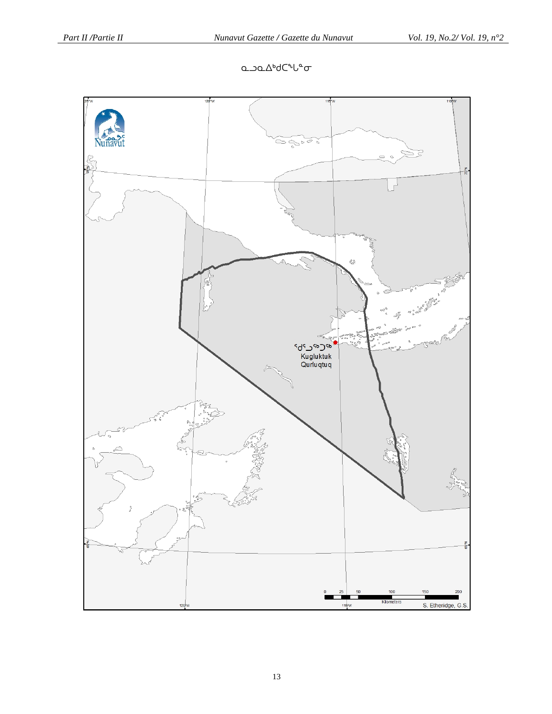# **Q**\_bQ\_ΔbdC<sup>+Le</sup>σ

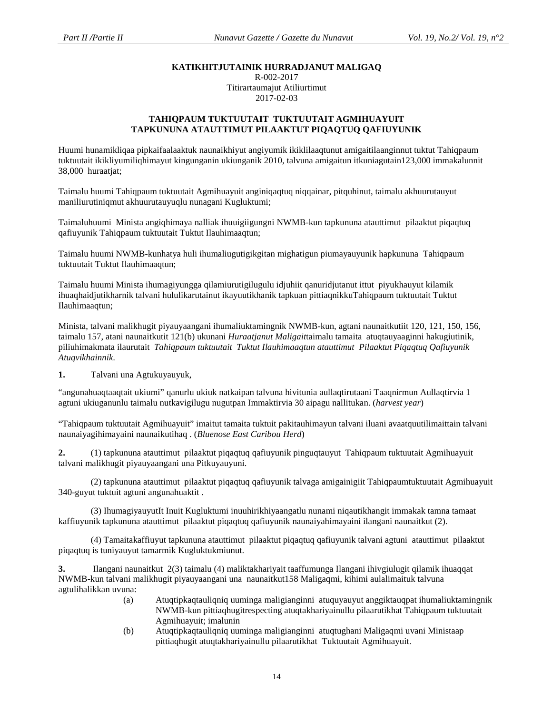#### **KATIKHITJUTAINIK HURRADJANUT MALIGAQ**

R-002-2017 Titirartaumajut Atiliurtimut 2017-02-03

#### **TAHIQPAUM TUKTUUTAIT TUKTUUTAIT AGMIHUAYUIT TAPKUNUNA ATAUTTIMUT PILAAKTUT PIQAQTUQ QAFIUYUNIK**

Huumi hunamikliqaa pipkaifaalaaktuk naunaikhiyut angiyumik ikiklilaaqtunut amigaitilaanginnut tuktut Tahiqpaum tuktuutait ikikliyumiliqhimayut kingunganin ukiunganik 2010, talvuna amigaitun itkuniagutain123,000 immakalunnit 38,000 huraatjat;

Taimalu huumi Tahiqpaum tuktuutait Agmihuayuit anginiqaqtuq niqqainar, pitquhinut, taimalu akhuurutauyut maniliurutiniqmut akhuurutauyuqlu nunagani Kugluktumi;

Taimaluhuumi Minista angiqhimaya nalliak ihuuigiigungni NWMB-kun tapkununa atauttimut pilaaktut piqaqtuq qafiuyunik Tahiqpaum tuktuutait Tuktut Ilauhimaaqtun;

Taimalu huumi NWMB-kunhatya huli ihumaliugutigikgitan mighatigun piumayauyunik hapkununa Tahiqpaum tuktuutait Tuktut Ilauhimaaqtun;

Taimalu huumi Minista ihumagiyungga qilamiurutigilugulu idjuhiit qanuridjutanut ittut piyukhauyut kilamik ihuaqhaidjutikharnik talvani hululikarutainut ikayuutikhanik tapkuan pittiaqnikkuTahiqpaum tuktuutait Tuktut Ilauhimaaqtun;

Minista, talvani malikhugit piyauyaangani ihumaliuktamingnik NWMB-kun, agtani naunaitkutiit 120, 121, 150, 156, taimalu 157, atani naunaitkutit 121(b) ukunani *Huraatjanut Maligait*taimalu tamaita atuqtauyaaginni hakugiutinik, piliuhimakmata ilaurutait *Tahiqpaum tuktuutait Tuktut Ilauhimaaqtun atauttimut Pilaaktut Piqaqtuq Qafiuyunik Atuqvikhainnik*.

**1.** Talvani una Agtukuyauyuk,

"angunahuaqtaaqtait ukiumi" qanurlu ukiuk natkaipan talvuna hivitunia aullaqtirutaani Taaqnirmun Aullaqtirvia 1 agtuni ukiuganunlu taimalu nutkavigilugu nugutpan Immaktirvia 30 aipagu nallitukan. (*harvest year*)

"Tahiqpaum tuktuutait Agmihuayuit" imaitut tamaita tuktuit pakitauhimayun talvani iluani avaatquutilimaittain talvani naunaiyagihimayaini naunaikutihaq . (*Bluenose East Caribou Herd*)

**2.** (1) tapkununa atauttimut pilaaktut piqaqtuq qafiuyunik pinguqtauyut Tahiqpaum tuktuutait Agmihuayuit talvani malikhugit piyauyaangani una Pitkuyauyuni.

(2) tapkununa atauttimut pilaaktut piqaqtuq qafiuyunik talvaga amigainigiit Tahiqpaumtuktuutait Agmihuayuit 340-guyut tuktuit agtuni angunahuaktit .

(3) IhumagiyauyutIt Inuit Kugluktumi inuuhirikhiyaangatlu nunami niqautikhangit immakak tamna tamaat kaffiuyunik tapkununa atauttimut pilaaktut piqaqtuq qafiuyunik naunaiyahimayaini ilangani naunaitkut (2).

(4) Tamaitakaffiuyut tapkununa atauttimut pilaaktut piqaqtuq qafiuyunik talvani agtuni atauttimut pilaaktut piqaqtuq is tuniyauyut tamarmik Kugluktukmiunut.

**3.** Ilangani naunaitkut 2(3) taimalu (4) maliktakhariyait taaffumunga Ilangani ihivgiulugit qilamik ihuaqqat NWMB-kun talvani malikhugit piyauyaangani una naunaitkut158 Maligaqmi, kihimi aulalimaituk talvuna agtulihalikkan uvuna:

- (a) Atuqtipkaqtauliqniq uuminga maligianginni atuquyauyut anggiktauqpat ihumaliuktamingnik NWMB-kun pittiaqhugitrespecting atuqtakhariyainullu pilaarutikhat Tahiqpaum tuktuutait Agmihuayuit; imalunin
- (b) Atuqtipkaqtauliqniq uuminga maligianginni atuqtughani Maligaqmi uvani Ministaap pittiaqhugit atuqtakhariyainullu pilaarutikhat Tuktuutait Agmihuayuit.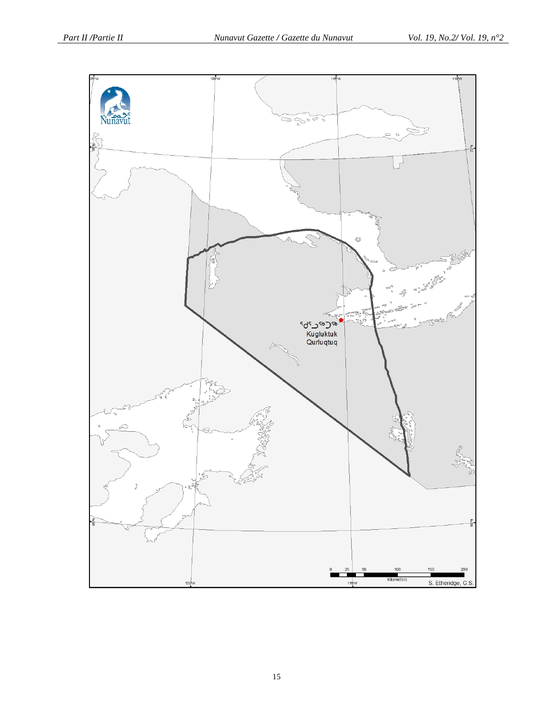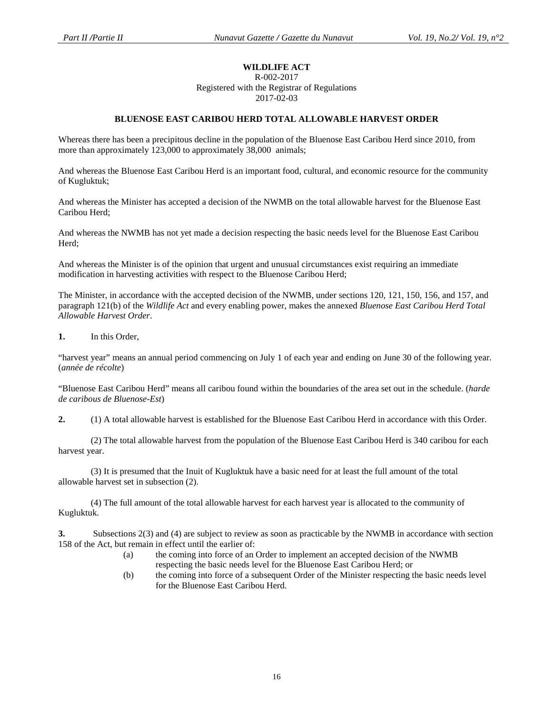# **WILDLIFE ACT**

R-002-2017 Registered with the Registrar of Regulations 2017-02-03

#### **BLUENOSE EAST CARIBOU HERD TOTAL ALLOWABLE HARVEST ORDER**

Whereas there has been a precipitous decline in the population of the Bluenose East Caribou Herd since 2010, from more than approximately 123,000 to approximately 38,000 animals;

And whereas the Bluenose East Caribou Herd is an important food, cultural, and economic resource for the community of Kugluktuk;

And whereas the Minister has accepted a decision of the NWMB on the total allowable harvest for the Bluenose East Caribou Herd;

And whereas the NWMB has not yet made a decision respecting the basic needs level for the Bluenose East Caribou Herd;

And whereas the Minister is of the opinion that urgent and unusual circumstances exist requiring an immediate modification in harvesting activities with respect to the Bluenose Caribou Herd;

The Minister, in accordance with the accepted decision of the NWMB, under sections 120, 121, 150, 156, and 157, and paragraph 121(b) of the *Wildlife Act* and every enabling power, makes the annexed *Bluenose East Caribou Herd Total Allowable Harvest Order*.

#### **1.** In this Order,

"harvest year" means an annual period commencing on July 1 of each year and ending on June 30 of the following year. (*année de récolte*)

"Bluenose East Caribou Herd" means all caribou found within the boundaries of the area set out in the schedule. (*harde de caribous de Bluenose-Est*)

**2.** (1) A total allowable harvest is established for the Bluenose East Caribou Herd in accordance with this Order.

(2) The total allowable harvest from the population of the Bluenose East Caribou Herd is 340 caribou for each harvest year.

(3) It is presumed that the Inuit of Kugluktuk have a basic need for at least the full amount of the total allowable harvest set in subsection (2).

(4) The full amount of the total allowable harvest for each harvest year is allocated to the community of Kugluktuk.

**3.** Subsections 2(3) and (4) are subject to review as soon as practicable by the NWMB in accordance with section 158 of the Act, but remain in effect until the earlier of:

- (a) the coming into force of an Order to implement an accepted decision of the NWMB respecting the basic needs level for the Bluenose East Caribou Herd; or
- (b) the coming into force of a subsequent Order of the Minister respecting the basic needs level for the Bluenose East Caribou Herd.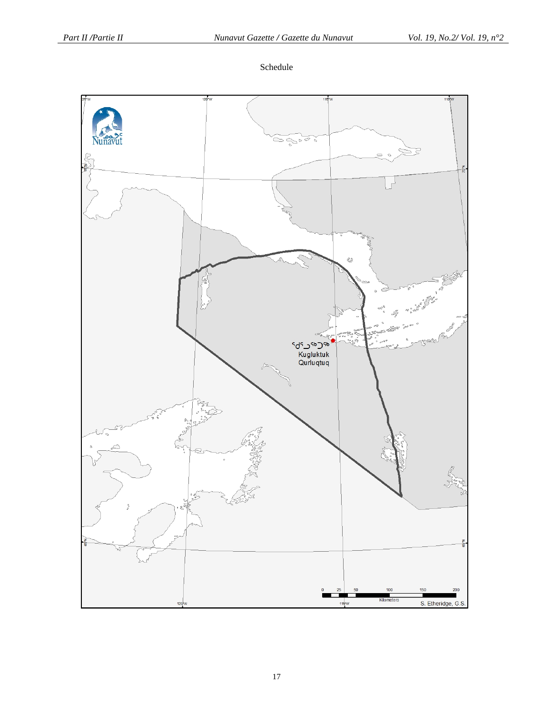Schedule

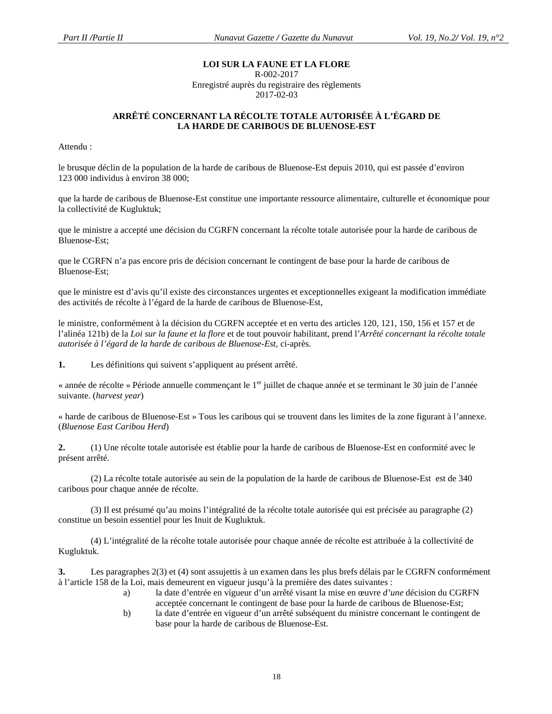# **LOI SUR LA FAUNE ET LA FLORE**

#### R-002-2017

Enregistré auprès du registraire des règlements 2017-02-03

#### **ARRÊTÉ CONCERNANT LA RÉCOLTE TOTALE AUTORISÉE À L'ÉGARD DE LA HARDE DE CARIBOUS DE BLUENOSE-EST**

Attendu :

le brusque déclin de la population de la harde de caribous de Bluenose-Est depuis 2010, qui est passée d'environ 123 000 individus à environ 38 000;

que la harde de caribous de Bluenose-Est constitue une importante ressource alimentaire, culturelle et économique pour la collectivité de Kugluktuk;

que le ministre a accepté une décision du CGRFN concernant la récolte totale autorisée pour la harde de caribous de Bluenose-Est;

que le CGRFN n'a pas encore pris de décision concernant le contingent de base pour la harde de caribous de Bluenose-Est;

que le ministre est d'avis qu'il existe des circonstances urgentes et exceptionnelles exigeant la modification immédiate des activités de récolte à l'égard de la harde de caribous de Bluenose-Est,

le ministre, conformément à la décision du CGRFN acceptée et en vertu des articles 120, 121, 150, 156 et 157 et de l'alinéa 121b) de la *Loi sur la faune et la flore* et de tout pouvoir habilitant, prend l'*Arrêté concernant la récolte totale autorisée à l'égard de la harde de caribous de Bluenose-Est,* ci-après.

**1.** Les définitions qui suivent s'appliquent au présent arrêté.

« année de récolte » Période annuelle commençant le 1<sup>er</sup> juillet de chaque année et se terminant le 30 juin de l'année suivante. (*harvest year*)

« harde de caribous de Bluenose-Est » Tous les caribous qui se trouvent dans les limites de la zone figurant à l'annexe. (*Bluenose East Caribou Herd*)

**2.** (1) Une récolte totale autorisée est établie pour la harde de caribous de Bluenose-Est en conformité avec le présent arrêté.

(2) La récolte totale autorisée au sein de la population de la harde de caribous de Bluenose-Est est de 340 caribous pour chaque année de récolte.

(3) Il est présumé qu'au moins l'intégralité de la récolte totale autorisée qui est précisée au paragraphe (2) constitue un besoin essentiel pour les Inuit de Kugluktuk.

(4) L'intégralité de la récolte totale autorisée pour chaque année de récolte est attribuée à la collectivité de Kugluktuk.

**3.** Les paragraphes 2(3) et (4) sont assujettis à un examen dans les plus brefs délais par le CGRFN conformément à l'article 158 de la Loi, mais demeurent en vigueur jusqu'à la première des dates suivantes :

- a) la date d'entrée en vigueur d'un arrêté visant la mise en œuvre *d'une* décision du CGRFN acceptée concernant le contingent de base pour la harde de caribous de Bluenose-Est;
- b) la date d'entrée en vigueur d'un arrêté subséquent du ministre concernant le contingent de base pour la harde de caribous de Bluenose-Est.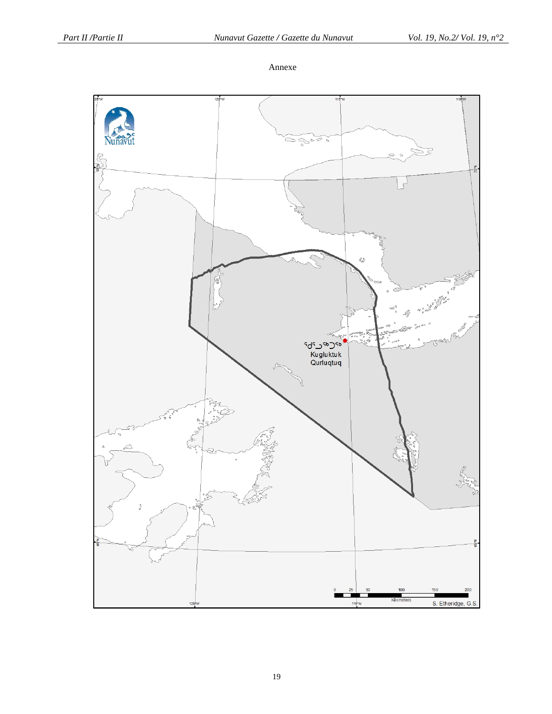Annexe